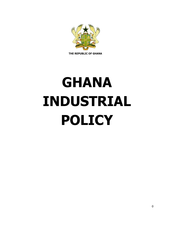

 **THE REPUBLIC OF GHANA**

# **GHANA INDUSTRIAL POLICY**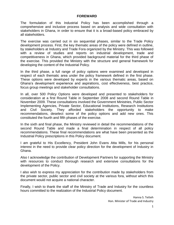#### **FOREWARD**

The formulation of this Industrial Policy has been accomplished through a comprehensive and inclusive process based on analysis and wide consultation with stakeholders in Ghana, in order to ensure that it is a broad-based policy embraced by all stakeholders.

The exercise was carried out in six sequential phases, similar to the Trade Policy development process. First, the key thematic areas of the policy were defined in outline, by stakeholders at Industry and Trade Fora organized by the Ministry. This was followed with a review of studies and reports on industrial development, trade and competitiveness in Ghana, which provided background material for the third phase of the exercise. This provided the Ministry with the structure and general framework for developing the content of the Industrial Policy.

In the third phase, a full range of policy options were examined and developed in respect of each thematic area under the policy framework defined in the first phase. These options were developed by experts in the various thematic areas, based on Ghana's development experience and aspirations, cost effectiveness, best practice, focus group meetings and stakeholder consultations.

In all, over 500 Policy Options were developed and presented to stakeholders for consideration at a first Round Table in September 2008 and second Round Table in November 2009. These consultations involved the Government Ministries, Public Sector Implementing Agencies, Private Sector, Educational Institutions, Research Institutions and Civil Society. They afforded stakeholders the opportunity to make recommendations, deselect some of the policy options and add new ones. This constituted the fourth and fifth phases of the exercise.

In the sixth and final phase, the Ministry reviewed in detail the recommendations of the second Round Table and made a final determination in respect of all policy recommendations. These final recommendations are what have been presented as the Industrial Policy prescriptions in this Policy document.

I am grateful to His Excellency, President John Evans Atta Mills, for his personal interest in the need to provide clear policy direction for the development of Industry in Ghana.

Also I acknowledge the contribution of Development Partners for supporting the Ministry with resources to conduct thorough research and extensive consultations for the development of the Policy.

I also wish to express my appreciation for the contribution made by stakeholders from the private sector, public sector and civil society at the various fora, without which this document would not acquire a national character.

Finally, I wish to thank the staff of the Ministry of Trade and Industry for the countless hours committed to the realization of the Industrial Policy document.

> Hanna S. Tetteh Hon. Minister of Trade and Industry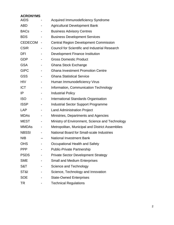# **ACRONYMS**

| <b>AIDS</b>    |                              | Acquired Immunodeficiency Syndrome                    |
|----------------|------------------------------|-------------------------------------------------------|
| <b>ABD</b>     |                              | <b>Agricultural Development Bank</b>                  |
| <b>BACs</b>    |                              | <b>Business Advisory Centres</b>                      |
| <b>BDS</b>     |                              | <b>Business Development Services</b>                  |
| <b>CEDECOM</b> | $\qquad \qquad \blacksquare$ | <b>Central Region Development Commission</b>          |
| <b>CSIR</b>    |                              | <b>Council for Scientific and Industrial Research</b> |
| <b>DFI</b>     |                              | Development Finance Institution                       |
| <b>GDP</b>     |                              | <b>Gross Domestic Product</b>                         |
| <b>GSA</b>     |                              | Ghana Stock Exchange                                  |
| <b>GIPC</b>    |                              | <b>Ghana Investment Promotion Centre</b>              |
| <b>GSS</b>     |                              | <b>Ghana Statistical Service</b>                      |
| <b>HIV</b>     |                              | Human Immunodeficiency Virus                          |
| <b>ICT</b>     |                              | Information, Communication Technology                 |
| IP             |                              | <b>Industrial Policy</b>                              |
| <b>ISO</b>     |                              | <b>International Standards Organisation</b>           |
| <b>ISSP</b>    |                              | <b>Industrial Sector Support Programme</b>            |
| <b>LAP</b>     |                              | <b>Land Administration Project</b>                    |
| <b>MDAs</b>    |                              | Ministries, Departments and Agencies                  |
| <b>MEST</b>    |                              | Ministry of Environment, Science and Technology       |
| <b>MMDAs</b>   | -                            | Metropolitan, Municipal and District Assemblies       |
| <b>NBSSI</b>   |                              | National Board for Small-scale Industries             |
| <b>NIB</b>     |                              | <b>National Investment Bank</b>                       |
| <b>OHS</b>     |                              | Occupational Health and Safety                        |
| <b>PPP</b>     |                              | <b>Public-Private Partnership</b>                     |
| <b>PSDS</b>    |                              | <b>Private Sector Development Strategy</b>            |
| <b>SME</b>     |                              | <b>Small and Medium Enterprises</b>                   |
| S&T            |                              | Science and Technology                                |
| ST&I           |                              | Science, Technology and Innovation                    |
| <b>SOE</b>     |                              | <b>State-Owned Enterprises</b>                        |
| TR             |                              | <b>Technical Regulations</b>                          |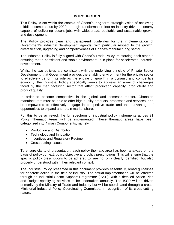#### **INTRODUCTION**

This Policy is set within the context of Ghana's long-term strategic vision of achieving middle income status by 2020, through transformation into an industry-driven economy capable of delivering decent jobs with widespread, equitable and sustainable growth and development.

The Policy provides clear and transparent guidelines for the implementation of Government's industrial development agenda, with particular respect to the growth, diversification, upgrading and competitiveness of Ghana's manufacturing sector.

The Industrial Policy is fully aligned with Ghana's Trade Policy, reinforcing each other in ensuring that a consistent and stable environment is in place for accelerated industrial development.

Whilst the two policies are consistent with the underlying principle of Private Sector Development, that Government provides the enabling environment for the private sector to effectively perform its role as the engine of growth in a dynamic and competitive economy, the Industrial Policy specifically seeks to address an array of challenges faced by the manufacturing sector that affect production capacity, productivity and product quality.

In order to become competitive in the global and domestic market, Ghanaian manufacturers must be able to offer high quality products, processes and services, and be empowered to effectively engage in competitive trade and take advantage of opportunities to expand and retain market share.

For this to be achieved, the full spectrum of industrial policy instruments across 21 Policy Thematic Areas will be implemented. These thematic areas have been categorized into 4 main Components, namely:

- Production and Distribution
- Technology and Innovation
- Incentives and Regulatory Regime
- Cross-cutting Issues

To ensure clarity of presentation, each policy thematic area has been analyzed on the basis of policy context, policy objective and policy prescriptions. This will ensure that the specific policy prescriptions to be adhered to, are not only clearly identified, but also properly understood within their relevant context.

The Industrial Policy presented in this document provides essentially, broad guidelines for concrete action in the field of industry. The actual implementation will be effected through an Industrial Sector Support Programme (ISSP), with a detailed Action Plan and Budget specifying activities to be undertaken annually. The ISSP will be driven primarily by the Ministry of Trade and Industry but will be coordinated through a cross-Ministerial Industrial Policy Coordinating Committee, in recognition of its cross-cutting nature.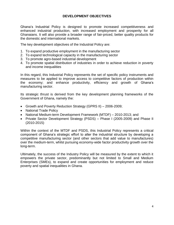## **DEVELOPMENT OBJECTIVES**

Ghana's Industrial Policy is designed to promote increased competitiveness and enhanced industrial production, with increased employment and prosperity for all Ghanaians. It will also provide a broader range of fair-priced, better quality products for the domestic and international markets.

The key development objectives of the Industrial Policy are:

- 1. To expand productive employment in the manufacturing sector
- 2. To expand technological capacity in the manufacturing sector
- 3. To promote agro-based industrial development
- 4. To promote spatial distribution of industries in order to achieve reduction in poverty and income inequalities

In this regard, this Industrial Policy represents the set of specific policy instruments and measures to be applied to improve access to competitive factors of production within the economy; and enhance productivity, efficiency and growth of Ghana's manufacturing sector.

Its strategic thrust is derived from the key development planning frameworks of the Government of Ghana, namely the:

- Growth and Poverty Reduction Strategy (GPRS II) 2006-2009;
- National Trade Policy
- National Medium-term Development Framework (MTDF) 2010-2013; and
- Private Sector Development Strategy (PSDS) Phase I (2005-2009) and Phase II (2010-2015)

Within the context of the MTDF and PSDS, this Industrial Policy represents a critical component of Ghana's strategic effort to alter the industrial structure by developing a competitive manufacturing sector (and other sectors that add value to manufactures) over the medium-term, whilst pursuing economy-wide factor productivity growth over the long-term.

Ultimately, the success of the Industry Policy will be measured by the extent to which it empowers the private sector, predominantly but not limited to Small and Medium Enterprises (SMEs), to expand and create opportunities for employment and reduce poverty and spatial inequalities in Ghana.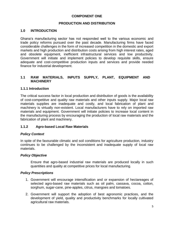# **COMPONENT ONE**

## **PRODUCTION AND DISTRIBUTION**

#### **1.0 INTRODUCTION**

Ghana's manufacturing sector has not responded well to the various economic and trade policy reforms pursued over the past decade. Manufacturing firms have faced considerable challenges in the form of increased competition in the domestic and export markets and high production and distribution costs arising from high interest rates, aged and obsolete equipment, inefficient infrastructural services and low productivity. Government will initiate and implement policies to develop requisite skills, ensure adequate and cost-competitive production inputs and services and provide needed finance for industrial development.

## **1.1 RAW MATERIALS, INPUTS SUPPLY, PLANT, EQUIPMENT AND MACHINERY**

#### **1.1.1 Introduction**

The critical success factor in local production and distribution of goods is the availability of cost-competitive and quality raw materials and other inputs supply. Major local raw materials supplies are inadequate and costly, and local fabrication of plant and machinery is virtually non-existent. Local manufacturers have to rely on imported raw materials and equipment. Government will initiate policies to increase local content in the manufacturing process by encouraging the production of local raw materials and the fabrication of plant and machinery.

#### **1.1.2 Agro-based Local Raw Materials**

#### *Policy Context*

In spite of the favourable climatic and soil conditions for agriculture production, industry continues to be challenged by the inconsistent and inadequate supply of local raw materials.

#### *Policy Objective*

Ensure that agro-based industrial raw materials are produced locally in such quantities and quality at competitive prices for local manufacturing.

- 1. Government will encourage intensification and or expansion of hectareages of selected agro-based raw materials such as oil palm, cassava, cocoa, cotton, sorghum, sugar-cane, pine-apples, citrus, mangoes and tomatoes.
- 2. Government will support the adoption of best agronomic practices, and the development of yield, quality and productivity benchmarks for locally cultivated agricultural raw materials.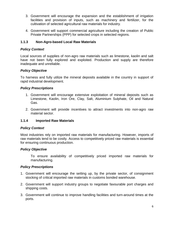- 3. Government will encourage the expansion and the establishment of irrigation facilities and provision of inputs, such as machinery and fertilizer, for the cultivation of selected agricultural raw materials for industry.
- 4. Government will support commercial agriculture including the creation of Public Private Partnerships (PPP) for selected crops in selected regions.

# **1.1.3 Non-Agro-based Local Raw Materials**

# *Policy Context*

Local sources of supplies of non-agro raw materials such as limestone, kaolin and salt have not been fully explored and exploited. Production and supply are therefore inadequate and unreliable.

## *Policy Objective*

To harness and fully utilize the mineral deposits available in the country in support of rapid industrial development.

## *Policy Prescriptions*

- 1. Government will encourage extensive exploitation of mineral deposits such as Limestone, Kaolin, Iron Ore, Clay, Salt, Aluminium Sulphate, Oil and Natural Gas.
- 2. Government will provide incentives to attract investments into non-agro raw material sector.

# **1.1.4 Imported Raw Materials**

#### *Policy Context*

Most industries rely on imported raw materials for manufacturing. However, imports of raw materials tend to be costly. Access to competitively priced raw materials is essential for ensuring continuous production.

#### *Policy Objective*

To ensure availability of competitively priced imported raw materials for manufacturing.

- 1. Government will encourage the setting up, by the private sector, of consignment stocking of critical imported raw materials in customs bonded warehouse.
- 2. Government will support industry groups to negotiate favourable port charges and shipping costs.
- 3. Government will continue to improve handling facilities and turn-around times at the ports.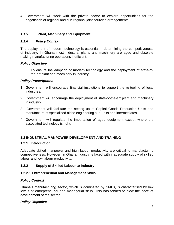4. Government will work with the private sector to explore opportunities for the negotiation of regional and sub-regional joint sourcing arrangements.

# *1.1.5* **Plant, Machinery and Equipment**

## *1.1.6 Policy Context*

The deployment of modern technology is essential in determining the competitiveness of industry. In Ghana most industrial plants and machinery are aged and obsolete making manufacturing operations inefficient.

## *Policy Objective*

To ensure the adoption of modern technology and the deployment of state-ofthe-art plant and machinery in industry.

## *Policy Prescriptions*

- 1. Government will encourage financial institutions to support the re-tooling of local industries.
- 2. Government will encourage the deployment of state-of-the-art plant and machinery in industry.
- 3. Government will facilitate the setting up of Capital Goods Production Units and manufacture of specialized niche engineering sub-units and intermediates.
- 4. Government will regulate the importation of aged equipment except where the associated technology is right.

# **1.2 INDUSTRIAL MANPOWER DEVELOPMENT AND TRAINING**

#### **1.2.1 Introduction**

Adequate skilled manpower and high labour productivity are critical to manufacturing competitiveness. However, in Ghana industry is faced with inadequate supply of skilled labour and low labour productivity.

# **1.2.2 Supply of Skilled Labour to Industry**

# **1.2.2.1 Entrepreneurial and Management Skills**

# *Policy Context*

Ghana's manufacturing sector, which is dominated by SMEs, is characterised by low levels of entrepreneurial and managerial skills. This has tended to slow the pace of development of the sector.

# *Policy Objective*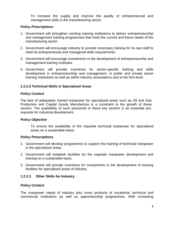To increase the supply and improve the quality of entrepreneurial and management skills in the manufacturing sector.

# *Policy Prescriptions*

- 1. Government will strengthen existing training institutions to deliver entrepreneurship and management training programmes that meet the current and future needs of the manufacturing sector.
- 2. Government will encourage industry to provide necessary training for its own staff to meet its entrepreneurial and managerial skills requirements.
- 3. Government will encourage investments in the development of entrepreneurship and management training institutes.
- 4. Government will provide incentives for sector-specific training and skills development in entrepreneurship and management, in public and private sector training institutions as well as within industry associations and at the firm-level.

# **1.2.2.2 Technical Skills in Specialized Areas**

## *Policy Context*

The lack of adequately trained manpower for specialized areas such as Oil and Gas Production and Capital Goods Manufacture is a constraint to the growth of these sectors. The availability of such personnel in these key sectors is an essential prerequisite for industrial development.

# *Policy Objective*

To ensure the availability of the requisite technical manpower for specialized areas on a sustainable basis.

# *Policy Prescriptions*

- 1. Government will develop programmes to support the training of technical manpower in the specialized areas.
- 2. Government will establish facilities for the requisite manpower development and training on a sustainable basis.
- 3. Government will provide incentives for investments in the development of training facilities for specialized areas of industry.

# **1.2.2.3 Other Skills for Industry**

# *Policy Context*

The manpower needs of industry also cover products of vocational, technical and commercial institutions as well as apprenticeship programmes. With increasing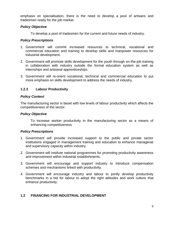emphasis on specialisation, there is the need to develop a pool of artisans and tradesmen ready for the job market.

## *Policy Objective*

To develop a pool of tradesmen for the current and future needs of industry.

## *Policy Prescriptions*

- 1. Government will commit increased resources to technical, vocational and commercial education and training to develop skills and manpower resources for industrial development.
- 2. Government will promote skills development for the youth through on-the-job training in collaboration with industry outside the formal education system as well as internships and artisanal apprenticeships.
- 3. Government will re-orient vocational, technical and commercial education to put more emphasis on skills development to address the needs of industry.

# **1.2.3 Labour Productivity**

## *Policy Context*

The manufacturing sector is beset with low levels of labour productivity which affects the competitiveness of the sector.

#### *Policy Objective*

To increase worker productivity in the manufacturing sector as a means of enhancing competitiveness

# *Policy Prescriptions*

- 1. Government will provide increased support to the public and private sector institutions engaged in management training and education to enhance managerial and supervisory capacity within industry.
- 2. Government will institute national programmes for promoting productivity awareness and improvement within industrial establishments.
- 3. Government will encourage and support industry to introduce compensation schemes and mechanisms linked with productivity.
- 4. Government will encourage industry and labour to jointly develop productivity benchmarks in a bid for labour to adopt the right attitudes and work culture that enhance productivity.

# **1.2 FINANCING FOR INDUSTRIAL DEVELOPMENT**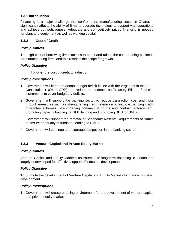# **1.3.1 Introduction**

Financing is a major challenge that confronts the manufacturing sector in Ghana. It significantly affects the ability of firms to upgrade technology to support vital operations and achieve competitiveness. Adequate and competitively priced financing is needed for plant and equipment as well as working capital.

#### **1.3.2 Cost of Credit**

#### *Policy Context*

The high cost of borrowing limits access to credit and raises the cost of doing business for manufacturing firms and this restricts the scope for growth.

#### *Policy Objective*

To lower the cost of credit to industry.

#### *Policy Prescriptions*

- 1. Government will keep the annual budget deficit in line with the target set in the 1992 Constitution (10% of GDP) and reduce dependence on Treasury Bills as financial instruments to cover budgetary deficits.
- 2. Government will support the banking sector to reduce transaction cost and risks through measures such as strengthening credit reference bureaux, expanding credit guarantee schemes, strengthening commercial courts and contract enforcement, promoting capacity building for SME lending and promoting BDS for SMEs.
- 3. Government will support the removal of Secondary Reserve Requirements of Banks to ensure adequacy of funds for lending to SMEs.
- 4. Government will continue to encourage competition in the banking sector.

#### **1.3.3 Venture Capital and Private Equity Market**

#### *Policy Context*

Venture Capital and Equity Markets as sources of long-term financing in Ghana are largely undeveloped for effective support of industrial development

#### *Policy Objective*

To promote the development of Venture Capital and Equity Markets to finance industrial development.

#### *Policy Prescriptions*

1. Government will create enabling environment for the development of venture capital and private equity markets.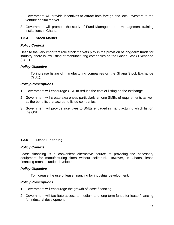- 2. Government will provide incentives to attract both foreign and local investors to the venture capital market.
- 3. Government will promote the study of Fund Management in management training institutions in Ghana.

#### **1.3.4 Stock Market**

## *Policy Context*

Despite the very important role stock markets play in the provision of long-term funds for industry, there is low listing of manufacturing companies on the Ghana Stock Exchange (GSE).

# *Policy Objective*

To increase listing of manufacturing companies on the Ghana Stock Exchange (GSE).

## *Policy Prescriptions*

- 1. Government will encourage GSE to reduce the cost of listing on the exchange.
- 2. Government will create awareness particularly among SMEs of requirements as well as the benefits that accrue to listed companies.
- 3. Government will provide incentives to SMEs engaged in manufacturing which list on the GSE.

# **1.3.5 Lease Financing**

#### *Policy Context*

Lease financing is a convenient alternative source of providing the necessary equipment for manufacturing firms without collateral. However, in Ghana, lease financing remains under developed.

#### *Policy Objective*

To increase the use of lease financing for industrial development.

- 1. Government will encourage the growth of lease financing.
- 2. Government will facilitate access to medium and long term funds for lease financing for industrial development.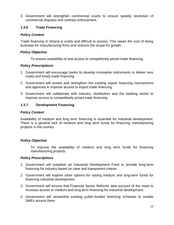3. Government will strengthen commercial courts to ensure speedy resolution of commercial disputes and contract enforcement.

# **1.3.6 Trade Financing**

# *Policy Context*

Trade financing in Ghana is costly and difficult to access. This raises the cost of doing business for manufacturing firms and restricts the scope for growth.

# *Policy Objective*

To ensure availability of and access to competitively priced trade financing.

# *Policy Prescriptions*

- 1. Government will encourage banks to develop innovative instruments to deliver less costly and timely trade financing.
- 2. Government will review and strengthen the existing export financing mechanisms and agencies to improve access to export trade financing.
- 3. Government will collaborate with industry, distributors and the banking sector to improve access to competitively priced trade financing.

# **1.3.7 Development Financing**

# *Policy Context*

Availability of medium and long term financing is essential for industrial development. There is a general lack of medium and long term funds for financing manufacturing projects in the country.

# *Policy Objective*

To improve the availability of medium and long term funds for financing manufacturing projects.

- 1. Government will establish an Industrial Development Fund to provide long-term financing for industry based on clear and transparent criteria.
- 2. Government will explore other options for raising medium and long-term funds for financing industrial development.
- 3. Government will ensure that Financial Sector Reforms take account of the need to increase access to medium and long term financing for industrial development.
- 4. Government will streamline existing public-funded financing schemes to enable SMEs access them.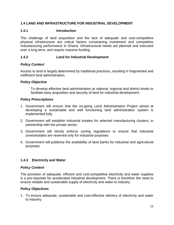# **1.4 LAND AND INFRASTRUCTURE FOR INDUSTRIAL DEVELOPMENT**

#### **1.4.1 Introduction**

The challenge of land acquisition and the lack of adequate and cost-competitive physical infrastructure are critical factors constraining investment and competitive manufacturing performance in Ghana. Infrastructural needs are planned and executed over a long term, and require massive funding.

#### **1.4.2 Land for Industrial Development**

## *Policy Context*

Access to land is largely determined by traditional practices, resulting in fragmented and inefficient land administration.

## *Policy Objective*

To develop effective land administration at national, regional and district levels to facilitate easy acquisition and security of land for industrial development.

## *Policy Prescriptions*

- 1. Government will ensure that the on-going Land Administration Project aimed at developing a sustainable and well functioning land administration system is implemented fully.
- 2. Government will establish industrial estates for selected manufacturing clusters, in partnership with the private sector.
- 3. Government will strictly enforce zoning regulations to ensure that industrial zones/estates are reserved only for industrial purposes.
- 4. Government will publicise the availability of land banks for industrial and agricultural purposes.

# **1.4.3 Electricity and Water**

#### *Policy Context*

The provision of adequate, efficient and cost-competitive electricity and water supplies is a pre-requisite for accelerated industrial development. There is therefore the need to ensure reliable and sustainable supply of electricity and water to industry.

#### *Policy Objectives*

1. To ensure adequate, sustainable and cost-effective delivery of electricity and water to industry.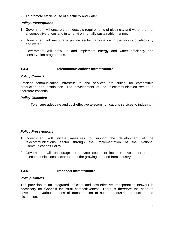2. To promote efficient use of electricity and water.

# *Policy Prescriptions*

- 1. Government will ensure that industry's requirements of electricity and water are met at competitive prices and in an environmentally sustainable manner.
- 2. Government will encourage private sector participation in the supply of electricity and water.
- 3. Government will draw up and implement energy and water efficiency and conservation programmes.

# **1.4.4 Telecommunications Infrastructure**

#### *Policy Context*

Efficient communication infrastructure and services are critical for competitive production and distribution. The development of the telecommunication sector is therefore essential.

## *Policy Objective*

To ensure adequate and cost-effective telecommunications services to industry.

# *Policy Prescriptions*

- 1. Government will initiate measures to support the development of the telecommunications sector through the implementation of the National Communications Policy.
- 2. Government will encourage the private sector to increase investment in the telecommunications sector to meet the growing demand from industry.

# **1.4.5 Transport Infrastructure**

#### *Policy Context*

The provision of an integrated, efficient and cost-effective transportation network is necessary for Ghana's industrial competitiveness. There is therefore the need to develop the various modes of transportation to support industrial production and distribution.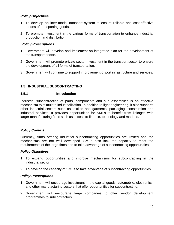## *Policy Objectives*

- 1. To develop an inter-modal transport system to ensure reliable and cost-effective modes of transporting goods.
- 2. To promote investment in the various forms of transportation to enhance industrial production and distribution.

#### *Policy Prescriptions*

- 1. Government will develop and implement an integrated plan for the development of the transport sector.
- 2. Government will promote private sector investment in the transport sector to ensure the development of all forms of transportation.
- 3. Government will continue to support improvement of port infrastructure and services.

# **1.5 INDUSTRIAL SUBCONTRACTING**

## **1.5.1 Introduction**

Industrial subcontracting of parts, components and sub assemblies is an effective mechanism to stimulate industrialization. In addition to light engineering, it also supports other industrial sectors such as textiles and garments, packaging, construction and industrial services. It provides opportunities for SMEs to benefit from linkages with larger manufacturing firms such as access to finance, technology and markets.

# *Policy Context*

Currently, firms offering industrial subcontracting opportunities are limited and the mechanisms are not well developed. SMEs also lack the capacity to meet the requirements of the large firms and to take advantage of subcontracting opportunities.

#### *Policy Objectives*

- 1. To expand opportunities and improve mechanisms for subcontracting in the industrial sector.
- 2. To develop the capacity of SMEs to take advantage of subcontracting opportunities.

- 1. Government will encourage investment in the capital goods, automobile, electronics, and other manufacturing sectors that offer opportunities for subcontracting.
- 2. Government will encourage large companies to offer vendor development programmes to subcontractors.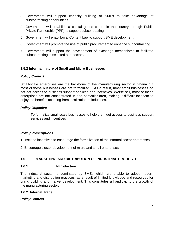- 3. Government will support capacity building of SMEs to take advantage of subcontracting opportunities.
- 4. Government will establish a capital goods centre in the country through Public Private Partnership (PPP) to support subcontracting.
- 5. Government will enact Local Content Law to support SME development.
- 6. Government will promote the use of public procurement to enhance subcontracting.
- 7. Government will support the development of exchange mechanisms to facilitate subcontracting in selected sub-sectors.

# **1.5.2 Informal nature of Small and Micro Businesses**

#### *Policy Context*

Small-scale enterprises are the backbone of the manufacturing sector in Ghana but most of these businesses are not formalized. As a result, most small businesses do not get access to business support services and incentives. Worse still, most of these enterprises are not concentrated in one particular area, making it difficult for them to enjoy the benefits accruing from localization of industries.

## *Policy Objective*

To formalize small scale businesses to help them get access to business support services and incentives

# *Policy Prescriptions*

- 1. Institute incentives to encourage the formalization of the informal sector enterprises.
- 2. Encourage cluster development of micro and small enterprises.

# **1.6 MARKETING AND DISTRIBUTION OF INDUSTRIAL PRODUCTS**

#### **1.6.1 Introduction**

The industrial sector is dominated by SMEs which are unable to adopt modern marketing and distribution practices, as a result of limited knowledge and resources for brand building and market development. This constitutes a handicap to the growth of the manufacturing sector.

#### **1.6.2. Internal Trade**

#### *Policy Context*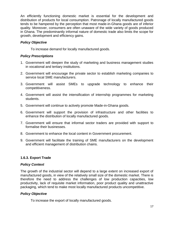An efficiently functioning domestic market is essential for the development and distribution of products for local consumption. Patronage of locally manufactured goods tends to be hampered by the perception that most made-in-Ghana goods are of inferior quality. Moreover, consumers are often unaware of the wide variety of goods produced in Ghana. The predominantly informal nature of domestic trade also limits the scope for growth, development and efficiency gains.

# *Policy Objective*

To increase demand for locally manufactured goods.

# *Policy Prescriptions*

- 1. Government will deepen the study of marketing and business management studies in vocational and tertiary institutions.
- 2. Government will encourage the private sector to establish marketing companies to service local SME manufacturers.
- 3. Government will assist SMEs to upgrade technology to enhance their competitiveness.
- 4. Government will assist the intensification of internship programmes for marketing students.
- 5. Government will continue to actively promote Made-in-Ghana goods.
- 6. Government will support the provision of infrastructure and other facilities to enhance the distribution of locally manufactured goods.
- 7. Government will ensure that informal sector traders are provided with support to formalise their businesses.
- 8. Government to enhance the local content in Government procurement.
- 9. Government will facilitate the training of SME manufacturers on the development and efficient management of distribution chains.

# **1.6.3. Export Trade**

# *Policy Context*

The growth of the industrial sector will depend to a large extent on increased export of manufactured goods, in view of the relatively small size of the domestic market. There is therefore the need to address the challenges of low production capacities, low productivity, lack of requisite market information, poor product quality and unattractive packaging, which tend to make most locally manufactured products uncompetitive.

# *Policy Objective*

To increase the export of locally manufactured goods.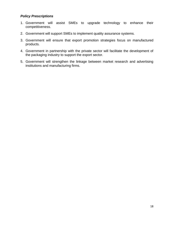- 1. Government will assist SMEs to upgrade technology to enhance their competitiveness.
- 2. Government will support SMEs to implement quality assurance systems.
- 3. Government will ensure that export promotion strategies focus on manufactured products.
- 4. Government in partnership with the private sector will facilitate the development of the packaging industry to support the export sector.
- 5. Government will strengthen the linkage between market research and advertising institutions and manufacturing firms.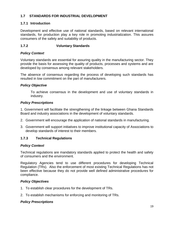# **1.7 STANDARDS FOR INDUSTRIAL DEVELOPMENT**

# **1.7.1 Introduction**

Development and effective use of national standards, based on relevant international standards, for production play a key role in promoting industrialization. This assures consumers of the safety and suitability of products.

# **1.7.2 Voluntary Standards**

# *Policy Context*

Voluntary standards are essential for assuring quality in the manufacturing sector. They provide the basis for assessing the quality of products, processes and systems and are developed by consensus among relevant stakeholders.

The absence of consensus regarding the process of developing such standards has resulted in low commitment on the part of manufacturers.

# *Policy Objective*

To achieve consensus in the development and use of voluntary standards in industry.

## *Policy Prescriptions*

1. Government will facilitate the strengthening of the linkage between Ghana Standards Board and industry associations in the development of voluntary standards.

- 2. Government will encourage the application of national standards in manufacturing.
- 3. Government will support initiatives to improve institutional capacity of Associations to develop standards of interest to their members.

# **1.7.3 Technical Regulations**

# *Policy Context*

Technical regulations are mandatory standards applied to protect the health and safety of consumers and the environment.

Regulatory Agencies tend to use different procedures for developing Technical Regulation (TRs). Also the enforcement of most existing Technical Regulations has not been effective because they do not provide well defined administrative procedures for compliance.

# *Policy Objectives*

- 1. To establish clear procedures for the development of TRs.
- 2. To establish mechanisms for enforcing and monitoring of TRs.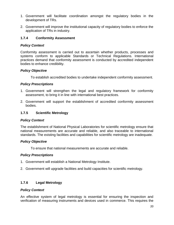- 1. Government will facilitate coordination amongst the regulatory bodies in the development of TRs.
- 2. Government will improve the institutional capacity of regulatory bodies to enforce the application of TRs in industry.

## **1.7.4 Conformity Assessment**

#### *Policy Context*

Conformity assessment is carried out to ascertain whether products, processes and systems conform to applicable Standards or Technical Regulations. International practices demand that conformity assessment is conducted by accredited independent bodies to enhance credibility.

#### *Policy Objective*

To establish accredited bodies to undertake independent conformity assessment.

## *Policy Prescriptions*

- 1. Government will strengthen the legal and regulatory framework for conformity assessment, to bring it in line with international best practices.
- 2. Government will support the establishment of accredited conformity assessment bodies.

## **1.7.5 Scientific Metrology**

#### *Policy Context*

The establishment of National Physical Laboratories for scientific metrology ensure that national measurements are accurate and reliable, and also traceable to international standards. The existing facilities and capabilities for scientific metrology are inadequate.

#### *Policy Objective*

To ensure that national measurements are accurate and reliable.

# *Policy Prescriptions*

- 1. Government will establish a National Metrology Institute.
- 2. Government will upgrade facilities and build capacities for scientific metrology.

# **1.7.6 Legal Metrology**

#### *Policy Context*

An effective system of legal metrology is essential for ensuring the inspection and verification of measuring instruments and devices used in commerce. This requires the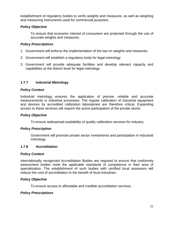establishment of regulatory bodies to verify weights and measures, as well as weighing and measuring instruments used for commercial purposes.

## *Policy Objective*

To ensure that economic interest of consumers are protected through the use of accurate weights and measures.

## *Policy Prescriptions*

- 1. Government will enforce the implementation of the law on weights and measures.
- 2. Government will establish a regulatory body for legal metrology
- 3. Government will provide adequate facilities and develop relevant capacity and capabilities at the district level for legal metrology.

# **1.7.7 Industrial Metrology**

#### *Policy Context*

Industrial metrology ensures the application of precise, reliable and accurate measurements in industrial processes. The regular calibration of industrial equipment and devices by accredited calibration laboratories are therefore critical. Expanding access to these services will require the active participation of the private sector.

#### *Policy Objective*

To ensure widespread availability of quality calibration services for industry.

#### *Policy Prescription*

Government will promote private sector investments and participation in industrial metrology.

#### **1.7.8 Accreditation**

#### *Policy Context*

Internationally recognized Accreditation Bodies are required to ensure that conformity assessment bodies meet the applicable standards of competence in their area of specialization. The establishment of such bodies with certified local assessors will reduce the cost of accreditation to the benefit of local industries.

#### *Policy Objective*

To ensure access to affordable and credible accreditation services.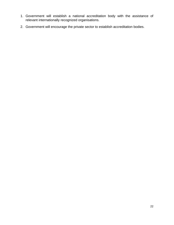- 1. Government will establish a national accreditation body with the assistance of relevant internationally recognized organisations.
- 2. Government will encourage the private sector to establish accreditation bodies.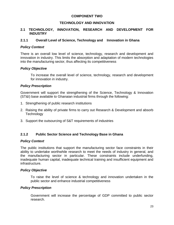## **COMPONENT TWO**

# **TECHNOLOGY AND INNOVATION**

#### **2.1 TECHNOLOGY, INNOVATION, RESEARCH AND DEVELOPMENT FOR INDUSTRY**

#### **2.1.1 Overall Level of Science, Technology and Innovation in Ghana**

#### *Policy Context*

There is an overall low level of science, technology, research and development and innovation in industry. This limits the absorption and adaptation of modern technologies into the manufacturing sector, thus affecting its competitiveness

## *Policy Objective*

To increase the overall level of science, technology, research and development for innovation in industry.

## *Policy Prescription*

Government will support the strengthening of the Science, Technology & Innovation (ST&I) base available to Ghanaian industrial firms through the following:

- 1. Strengthening of public research institutions
- 2. Raising the ability of private firms to carry out Research & Development and absorb **Technology**
- 3. Support the outsourcing of S&T requirements of industries

# **2.1.2 Public Sector Science and Technology Base in Ghana**

#### *Policy Context*

The public institutions that support the manufacturing sector face constraints in their ability to undertake worthwhile research to meet the needs of industry in general, and the manufacturing sector in particular. These constraints include underfunding, inadequate human capital, inadequate technical training and insufficient equipment and infrastructure.

#### *Policy Objective*

To raise the level of science & technology and innovation undertaken in the public sector and enhance industrial competitiveness

#### *Policy Prescription*

Government will increase the percentage of GDP committed to public sector research.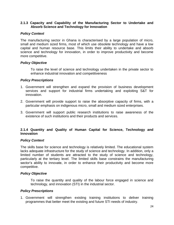#### **2.1.3 Capacity and Capability of the Manufacturing Sector to Undertake and Absorb Science and Technology for Innovation**

## *Policy Context*

The manufacturing sector in Ghana is characterised by a large population of micro, small and medium sized firms, most of which use obsolete technology and have a low capital and human resource base. This limits their ability to undertake and absorb science and technology for innovation, in order to improve productivity and become more competitive.

#### *Policy Objective*

To raise the level of science and technology undertaken in the private sector to enhance industrial innovation and competitiveness

#### *Policy Prescriptions*

- 1. Government will strengthen and expand the provision of business development services and support for industrial firms undertaking and exploiting S&T for innovation.
- 2. Government will provide support to raise the absorptive capacity of firms, with a particular emphasis on indigenous micro, small and medium sized enterprises.
- 3. Government will support public research institutions to raise awareness of the existence of such institutions and their products and services.

## **2.1.4 Quantity and Quality of Human Capital for Science, Technology and Innovation**

#### *Policy Context*

The skills base for science and technology is relatively limited. The educational system lacks adequate infrastructure for the study of science and technology. In addition, only a limited number of students are attracted to the study of science and technology, particularly at the tertiary level. The limited skills base constrains the manufacturing sector's ability to innovate, in order to enhance their productivity and become more competitive.

#### *Policy Objective*

To raise the quantity and quality of the labour force engaged in science and technology, and innovation (STI) in the industrial sector.

#### *Policy Prescriptions*

1. Government will strengthen existing training institutions to deliver training programmes that better meet the existing and future STI needs of industry.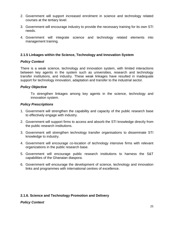- 2. Government will support increased enrolment in science and technology related courses at the tertiary level.
- 3. Government will encourage industry to provide the necessary training for its own STI needs.
- 4. Government will integrate science and technology related elements into management training.

## **2.1.5 Linkages within the Science, Technology and Innovation System**

#### *Policy Context*

There is a weak science, technology and innovation system, with limited interactions between key agents in the system such as universities, research and technology transfer institutions, and industry. These weak linkages have resulted in inadequate support for technology innovation, adaptation and transfer to the industrial sector.

#### *Policy Objective*

To strengthen linkages among key agents in the science, technology and innovation system.

#### *Policy Prescriptions*

- 1. Government will strengthen the capability and capacity of the public research base to effectively engage with industry.
- 2. Government will support firms to access and absorb the STI knowledge directly from the public research institutions.
- 3. Government will strengthen technology transfer organisations to disseminate STI knowledge to industry.
- 4. Government will encourage co-location of technology intensive firms with relevant organizations in the public research base.
- 5. Government will encourage public research institutions to harness the S&T capabilities of the Ghanaian diaspora.
- 6. Government will encourage the development of science, technology and innovation links and programmes with international centres of excellence.

# **2.1.6. Science and Technology Promotion and Delivery**

#### *Policy Context*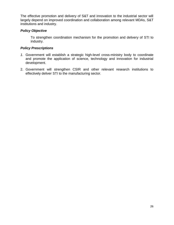The effective promotion and delivery of S&T and innovation to the industrial sector will largely depend on improved coordination and collaboration among relevant MDAs, S&T institutions and industry.

## *Policy Objective*

To strengthen coordination mechanism for the promotion and delivery of STI to industry.

- *1.* Government will establish a strategic high-level cross-ministry body to coordinate and promote the application of science, technology and innovation for industrial development.
- 2. Government will strengthen CSIR and other relevant research institutions to effectively deliver STI to the manufacturing sector.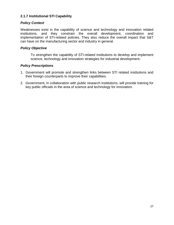# **2.1.7 Institutional STI Capability**

## *Policy Context*

Weaknesses exist in the capability of science and technology and innovation related institutions, and they constrain the overall development, coordination and implementation of STI-related policies. They also reduce the overall impact that S&T can have on the manufacturing sector and industry in general.

#### *Policy Objective*

To strengthen the capability of STI-related institutions to develop and implement science, technology and innovation strategies for industrial development.

- 1. Government will promote and strengthen links between STI related institutions and their foreign counterparts to improve their capabilities.
- 2. Government, in collaboration with public research institutions, will provide training for key public officials in the area of science and technology for innovation.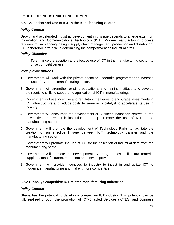# **2.2. ICT FOR INDUSTRIAL DEVELOPMENT**

# **2.2.1 Adoption and Use of ICT in the Manufacturing Sector**

## *Policy Context*

Growth and accelerated industrial development in this age depends to a large extent on Information and Communications Technology (ICT). Modern manufacturing process requires ICT in planning, design, supply chain management, production and distribution. ICT is therefore strategic in determining the competitiveness industrial firms.

#### *Policy Objective*

To enhance the adoption and effective use of ICT in the manufacturing sector, to drive competitiveness.

#### *Policy Prescriptions*

- 1. Government will work with the private sector to undertake programmes to increase the use of ICT in the manufacturing sector.
- 2. Government will strengthen existing educational and training institutions to develop the requisite skills to support the application of ICT in manufacturing.
- 3. Government will use incentive and regulatory measures to encourage investments in ICT infrastructure and reduce costs to serve as a catalyst to accelerate its use in industry.
- 4. Government will encourage the development of Business Incubation centres, at the universities and research institutions, to help promote the use of ICT in the manufacturing sector.
- 5. Government will promote the development of Technology Parks to facilitate the creation of an effective linkage between ICT, technology transfer and the manufacturing sector.
- 6. Government will promote the use of ICT for the collection of industrial data from the manufacturing sector.
- 7. Government will promote the development ICT programmes to link raw material suppliers, manufacturers, marketers and service providers.
- 8. Government will provide incentives to industry to invest in and utilize ICT to modernize manufacturing and make it more competitive.

#### **2.2.2 Globally Competitive ICT-related Manufacturing Industries**

#### *Policy Context*

Ghana has the potential to develop a competitive ICT industry. This potential can be fully realized through the promotion of ICT-Enabled Services (ICTES) and Business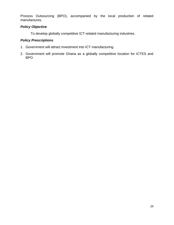Process Outsourcing (BPO), accompanied by the local production of related manufactures.

## *Policy Objective*

To develop globally competitive ICT-related manufacturing industries.

- 1. Government will attract investment into ICT manufacturing.
- 2. Government will promote Ghana as a globally competitive location for ICTES and BPO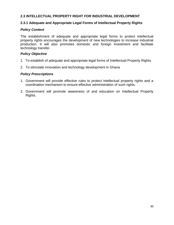# **2.3 INTELLECTUAL PROPERTY RIGHT FOR INDUSTRIAL DEVELOPMENT**

#### **2.3.1 Adequate and Appropriate Legal Forms of Intellectual Property Rights**

#### *Policy Context*

The establishment of adequate and appropriate legal forms to protect intellectual property rights encourages the development of new technologies to increase industrial production. It will also promotes domestic and foreign investment and facilitate technology transfer.

#### *Policy Objective*

- 1. To establish of adequate and appropriate legal forms of Intellectual Property Rights.
- 2. To stimulate innovation and technology development in Ghana

- 1. Government will provide effective rules to protect intellectual property rights and a coordination mechanism to ensure effective administration of such rights.
- 2. Government will promote awareness of and education on Intellectual Property Rights.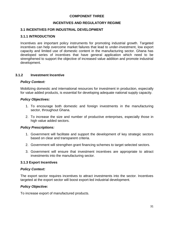## **COMPONENT THREE**

# **INCENTIVES AND REGULATORY REGIME**

#### **3.1 INCENTIVES FOR INDUSTRIAL DEVELOPMENT**

#### **3.1.1 INTRODUCTION**

Incentives are important policy instruments for promoting industrial growth. Targeted incentives can help overcome market failures that lead to under-investment, low export capacity and limited use of domestic content in the manufacturing sector. Ghana has developed series of incentives that have general application which need to be strengthened to support the objective of increased value addition and promote industrial development.

#### **3.1.2 Investment Incentive**

#### *Policy Context:*

Mobilizing domestic and international resources for investment in production, especially for value added products, is essential for developing adequate national supply capacity.

#### *Policy Objectives:*

- 1. To encourage both domestic and foreign investments in the manufacturing sector, throughout Ghana.
- 2. To increase the size and number of productive enterprises, especially those in high value added sectors.

#### *Policy Prescriptions:*

- 1. Government will facilitate and support the development of key strategic sectors based on clear and transparent criteria.
- 2. Government will strengthen grant financing schemes to target selected sectors.
- 3. Government will ensure that investment incentives are appropriate to attract investments into the manufacturing sector.

#### **3.1.3 Export Incentives**

#### *Policy Context:*

The export sector requires incentives to attract investments into the sector. Incentives targeted at the export sector will boost export-led industrial development.

#### *Policy Objective:*

To increase export of manufactured products.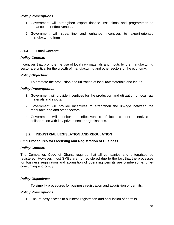## *Policy Prescriptions:*

- 1. Government will strengthen export finance institutions and programmes to enhance their effectiveness.
- 2. Government will streamline and enhance incentives to export-oriented manufacturing firms.

## **3.1.4 Local Content**

#### *Policy Context:*

Incentives that promote the use of local raw materials and inputs by the manufacturing sector are critical for the growth of manufacturing and other sectors of the economy.

#### *Policy Objective:*

To promote the production and utilization of local raw materials and inputs.

#### *Policy Prescriptions:*

- 1. Government will provide incentives for the production and utilization of local raw materials and inputs.
- 2. Government will provide incentives to strengthen the linkage between the manufacturing and other sectors.
- 3. Government will monitor the effectiveness of local content incentives in collaboration with key private sector organisations.

#### **3.2. INDUSTRIAL LEGISLATION AND REGULATION**

#### **3.2.1 Procedures for Licensing and Registration of Business**

#### *Policy Context:*

The Companies Code of Ghana requires that all companies and enterprises be registered. However, most SMEs are not registered due to the fact that the processes for business registration and acquisition of operating permits are cumbersome, timeconsuming and costly.

#### *Policy Objectives:*

To simplify procedures for business registration and acquisition of permits.

#### *Policy Prescriptions:*

1. Ensure easy access to business registration and acquisition of permits.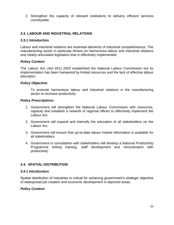2. Strengthen the capacity of relevant institutions to delivery efficient services countrywide.

# **3.3. LABOUR AND INDUSTRIAL RELATIONS**

#### **3.3.1 Introduction**

Labour and industrial relations are essential elements of industrial competitiveness. The manufacturing sector in particular thrives on harmonious labour and industrial relations and clearly articulated legislation that is effectively implemented.

## *Policy Context:*

The Labour Act, (Act 651) 2003 established the National Labour Commission but its implementation has been hampered by limited resources and the lack of effective labour education.

## *Policy Objective:*

To promote harmonious labour and industrial relations in the manufacturing sector to increase productivity.

#### *Policy Prescriptions:*

- 1. Government will strengthen the National Labour Commission with resources, capacity and establish a network of regional offices to effectively implement the Labour Act.
- 2. Government will expand and intensify the education of all stakeholders on the Labour Act.
- 3. Government will ensure that up-to-date labour market information is available for all stakeholders.
- 4. Government in consultation with stakeholders will develop a National Productivity Programme linking training, staff development and remuneration with productivity.

# **3.4. SPATIAL DISTRIBUTION**

#### **3.4.1 Introduction**

Spatial distribution of industries is critical for achieving government's strategic objective of widespread job creation and economic development in deprived areas.

# *Policy Context:*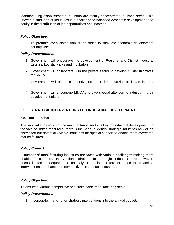Manufacturing establishments in Ghana are mainly concentrated in urban areas. This uneven distribution of industries is a challenge to balanced economic development and equity in the distribution of job opportunities and incomes.

## *Policy Objective:*

To promote even distribution of industries to stimulate economic development countrywide.

#### *Policy Prescriptions:*

- 1. Government will encourage the development of Regional and District Industrial Estates, Logistic Parks and Incubators.
- 2. Government will collaborate with the private sector to develop cluster initiatives for SMEs.
- 3. Government will enhance incentive schemes for industries to locate in rural areas.
- 4. Government will encourage MMDAs to give special attention to industry in their development plans.

# **3.5 STRATEGIC INTERVENTIONS FOR INDUSTRIAL DEVELOPMENT**

#### **3.5.1 Introduction**

The survival and growth of the manufacturing sector is key for industrial development. In the face of limited resources, there is the need to identify strategic industries as well as distressed but potentially viable industries for special support to enable them overcome market failures.

#### *Policy Context:*

A number of manufacturing industries are faced with various challenges making them unable to compete. Interventions directed at strategic industries are however, uncoordinated, inadequate and untimely. There is therefore the need to streamline interventions to enhance the competitiveness of such industries.

# *Policy Objective:*

To ensure a vibrant, competitive and sustainable manufacturing sector.

#### *Policy Prescriptions*

1. Incorporate financing for strategic interventions into the annual budget.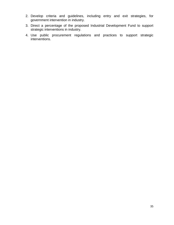- 2. Develop criteria and guidelines, including entry and exit strategies, for government intervention in industry.
- 3. Direct a percentage of the proposed Industrial Development Fund to support strategic interventions in industry.
- 4. Use public procurement regulations and practices to support strategic interventions.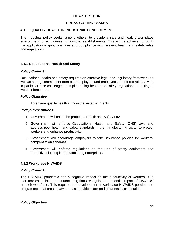# **CHAPTER FOUR**

# **CROSS-CUTTING ISSUES**

## **4.1 QUALITY HEALTH IN INDUSTRIAL DEVELOPMENT**

The industrial policy seeks, among others, to provide a safe and healthy workplace environment for employees in industrial establishments. This will be achieved through the application of good practices and compliance with relevant health and safety rules and regulations.

## **4.1.1 Occupational Health and Safety**

#### *Policy Context:*

Occupational health and safety requires an effective legal and regulatory framework as well as strong commitment from both employers and employees to enforce rules. SMEs in particular face challenges in implementing health and safety regulations, resulting in weak enforcement.

#### *Policy Objective:*

To ensure quality health in industrial establishments.

#### *Policy Prescriptions:*

- 1. Government will enact the proposed Health and Safety Law.
- 2. Government will enforce Occupational Health and Safety (OHS) laws and address poor health and safety standards in the manufacturing sector to protect workers and enhance productivity.
- 3. Government will encourage employers to take insurance policies for workers' compensation schemes.
- 4. Government will enforce regulations on the use of safety equipment and protective clothing in manufacturing enterprises.

#### **4.1.2 Workplace HIV/AIDS**

#### *Policy Context:*

The HIV/AIDS pandemic has a negative impact on the productivity of workers. It is therefore essential that manufacturing firms recognise the potential impact of HIV/AIDS on their workforce. This requires the development of workplace HIV/AIDS policies and programmes that creates awareness, provides care and prevents discrimination.

*Policy Objective:*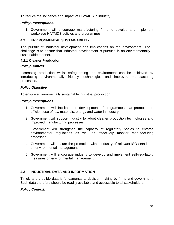To reduce the incidence and impact of HIV/AIDS in industry.

## *Policy Prescriptions:*

**1.** Government will encourage manufacturing firms to develop and implement workplace HIV/AIDS policies and programmes.

# **4.2 ENVIRONMENTAL SUSTAINABILITY**

The pursuit of industrial development has implications on the environment. The challenge is to ensure that industrial development is pursued in an environmentally sustainable manner.

#### **4.2.1 Cleaner Production**

## *Policy Context:*

Increasing production whilst safeguarding the environment can be achieved by introducing environmentally friendly technologies and improved manufacturing processes.

## *Policy Objective*

To ensure environmentally sustainable industrial production.

#### *Policy Prescriptions*

- 1. Government will facilitate the development of programmes that promote the efficient use of raw materials, energy and water in industry.
- 2. Government will support industry to adopt cleaner production technologies and improved manufacturing processes.
- 3. Government will strengthen the capacity of regulatory bodies to enforce environmental regulations as well as effectively monitor manufacturing processes.
- 4. Government will ensure the promotion within industry of relevant ISO standards on environmental management.
- 5. Government will encourage industry to develop and implement self-regulatory measures on environmental management.

# **4.3 INDUSTRIAL DATA AND INFORMATION**

Timely and credible data is fundamental to decision making by firms and government. Such data therefore should be readily available and accessible to all stakeholders.

# *Policy Context:*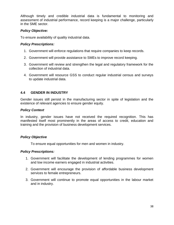Although timely and credible industrial data is fundamental to monitoring and assessment of industrial performance, record keeping is a major challenge, particularly in the SME sector.

## *Policy Objective:*

To ensure availability of quality industrial data.

#### *Policy Prescriptions:*

- 1. Government will enforce regulations that require companies to keep records.
- 2. Government will provide assistance to SMEs to improve record keeping.
- 3. Government will review and strengthen the legal and regulatory framework for the collection of industrial data.
- 4. Government will resource GSS to conduct regular industrial census and surveys to update industrial data.

# **4.4 GENDER IN INDUSTRY**

Gender issues still persist in the manufacturing sector in spite of legislation and the existence of relevant agencies to ensure gender equity.

## *Policy Context*

In industry, gender issues have not received the required recognition. This has manifested itself most prominently in the areas of access to credit, education and training and the provision of business development services.

# *Policy Objective*

To ensure equal opportunities for men and women in industry.

- 1. Government will facilitate the development of lending programmes for women and low income earners engaged in industrial activities.
- 2. Government will encourage the provision of affordable business development services to female entrepreneurs.
- 3. Government will continue to promote equal opportunities in the labour market and in industry.